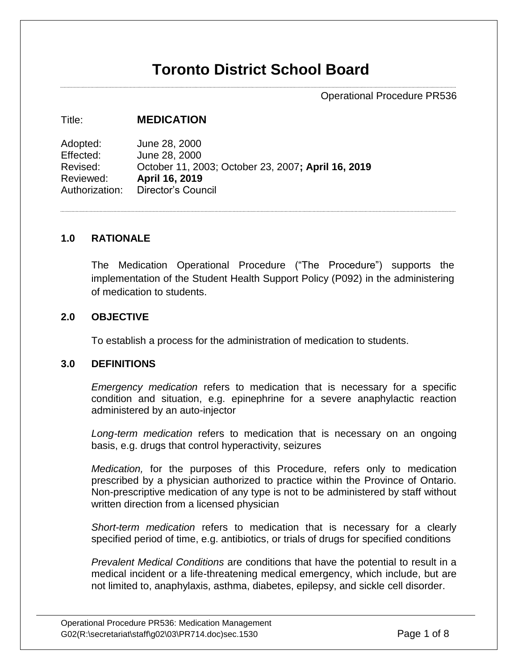# **Toronto District School Board**

Operational Procedure PR536

#### Title: **MEDICATION**

Adopted: June 28, 2000 Effected: June 28, 2000 Revised: October 11, 2003; October 23, 2007**; April 16, 2019** Reviewed: **April 16, 2019** Authorization: Director's Council

#### **1.0 RATIONALE**

The Medication Operational Procedure ("The Procedure") supports the implementation of the Student Health Support Policy (P092) in the administering of medication to students.

#### **2.0 OBJECTIVE**

To establish a process for the administration of medication to students.

## **3.0 DEFINITIONS**

*Emergency medication* refers to medication that is necessary for a specific condition and situation, e.g. epinephrine for a severe anaphylactic reaction administered by an auto-injector

*Long-term medication* refers to medication that is necessary on an ongoing basis, e.g. drugs that control hyperactivity, seizures

*Medication,* for the purposes of this Procedure, refers only to medication prescribed by a physician authorized to practice within the Province of Ontario. Non-prescriptive medication of any type is not to be administered by staff without written direction from a licensed physician

*Short-term medication* refers to medication that is necessary for a clearly specified period of time, e.g. antibiotics, or trials of drugs for specified conditions

*Prevalent Medical Conditions* are conditions that have the potential to result in a medical incident or a life-threatening medical emergency, which include, but are not limited to, anaphylaxis, asthma, diabetes, epilepsy, and sickle cell disorder.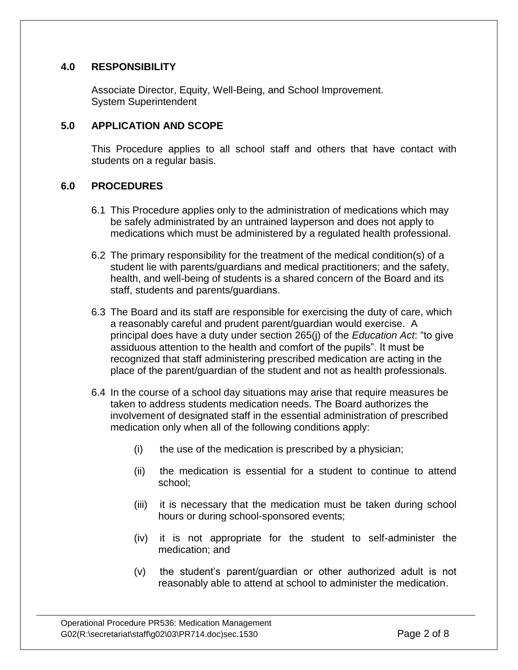## **4.0 RESPONSIBILITY**

Associate Director, Equity, Well-Being, and School Improvement. System Superintendent

## **5.0 APPLICATION AND SCOPE**

This Procedure applies to all school staff and others that have contact with students on a regular basis.

## **6.0 PROCEDURES**

- 6.1 This Procedure applies only to the administration of medications which may be safely administrated by an untrained layperson and does not apply to medications which must be administered by a regulated health professional.
- 6.2 The primary responsibility for the treatment of the medical condition(s) of a student lie with parents/guardians and medical practitioners; and the safety, health, and well-being of students is a shared concern of the Board and its staff, students and parents/guardians.
- 6.3 The Board and its staff are responsible for exercising the duty of care, which a reasonably careful and prudent parent/guardian would exercise. A principal does have a duty under section 265(j) of the *Education Act*: "to give assiduous attention to the health and comfort of the pupils". It must be recognized that staff administering prescribed medication are acting in the place of the parent/guardian of the student and not as health professionals.
- 6.4 In the course of a school day situations may arise that require measures be taken to address students medication needs. The Board authorizes the involvement of designated staff in the essential administration of prescribed medication only when all of the following conditions apply:
	- $(i)$  the use of the medication is prescribed by a physician;
	- (ii) the medication is essential for a student to continue to attend school;
	- (iii) it is necessary that the medication must be taken during school hours or during school-sponsored events;
	- (iv) it is not appropriate for the student to self-administer the medication; and
	- (v) the student's parent/guardian or other authorized adult is not reasonably able to attend at school to administer the medication.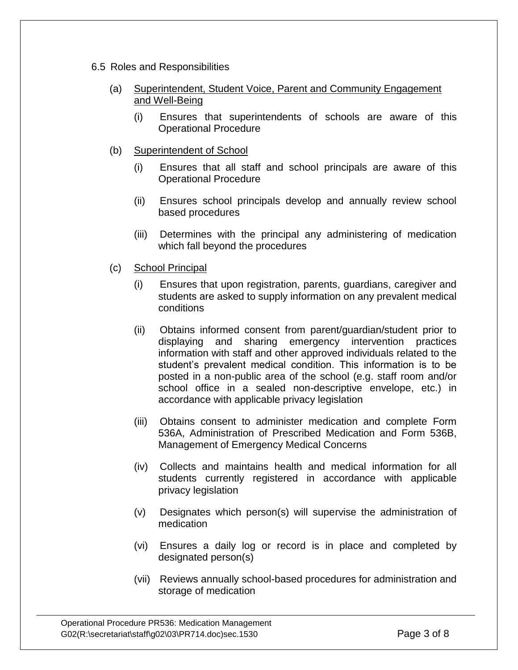- 6.5 Roles and Responsibilities
	- (a) Superintendent, Student Voice, Parent and Community Engagement and Well-Being
		- (i) Ensures that superintendents of schools are aware of this Operational Procedure
	- (b) Superintendent of School
		- (i) Ensures that all staff and school principals are aware of this Operational Procedure
		- (ii) Ensures school principals develop and annually review school based procedures
		- (iii) Determines with the principal any administering of medication which fall beyond the procedures
	- (c) School Principal
		- (i) Ensures that upon registration, parents, guardians, caregiver and students are asked to supply information on any prevalent medical conditions
		- (ii) Obtains informed consent from parent/guardian/student prior to displaying and sharing emergency intervention practices information with staff and other approved individuals related to the student's prevalent medical condition. This information is to be posted in a non-public area of the school (e.g. staff room and/or school office in a sealed non-descriptive envelope, etc.) in accordance with applicable privacy legislation
		- (iii) Obtains consent to administer medication and complete Form 536A, Administration of Prescribed Medication and Form 536B, Management of Emergency Medical Concerns
		- (iv) Collects and maintains health and medical information for all students currently registered in accordance with applicable privacy legislation
		- (v) Designates which person(s) will supervise the administration of medication
		- (vi) Ensures a daily log or record is in place and completed by designated person(s)
		- (vii) Reviews annually school-based procedures for administration and storage of medication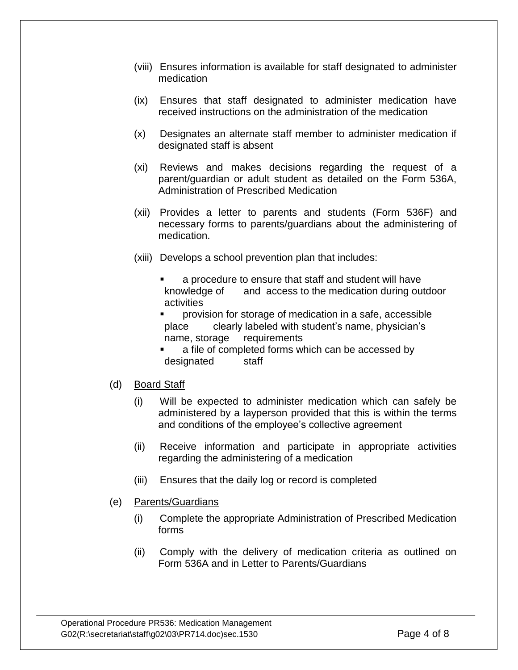- (viii) Ensures information is available for staff designated to administer medication
- (ix) Ensures that staff designated to administer medication have received instructions on the administration of the medication
- (x) Designates an alternate staff member to administer medication if designated staff is absent
- (xi) Reviews and makes decisions regarding the request of a parent/guardian or adult student as detailed on the Form 536A, Administration of Prescribed Medication
- (xii) Provides a letter to parents and students (Form 536F) and necessary forms to parents/guardians about the administering of medication.
- (xiii) Develops a school prevention plan that includes:
	- a procedure to ensure that staff and student will have knowledge of and access to the medication during outdoor activities
	- provision for storage of medication in a safe, accessible place clearly labeled with student's name, physician's name, storage requirements
	- a file of completed forms which can be accessed by designated staff
- (d) Board Staff
	- (i) Will be expected to administer medication which can safely be administered by a layperson provided that this is within the terms and conditions of the employee's collective agreement
	- (ii) Receive information and participate in appropriate activities regarding the administering of a medication
	- (iii) Ensures that the daily log or record is completed
- (e) Parents/Guardians
	- (i) Complete the appropriate Administration of Prescribed Medication forms
	- (ii) Comply with the delivery of medication criteria as outlined on Form 536A and in Letter to Parents/Guardians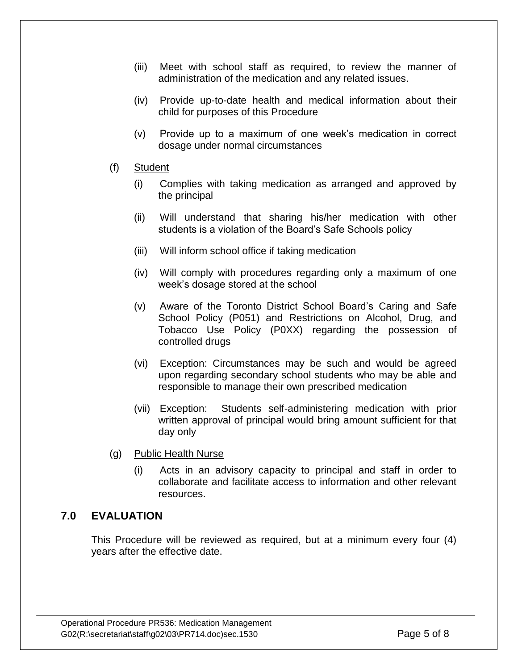- (iii) Meet with school staff as required, to review the manner of administration of the medication and any related issues.
- (iv) Provide up-to-date health and medical information about their child for purposes of this Procedure
- (v) Provide up to a maximum of one week's medication in correct dosage under normal circumstances
- (f) Student
	- (i) Complies with taking medication as arranged and approved by the principal
	- (ii) Will understand that sharing his/her medication with other students is a violation of the Board's Safe Schools policy
	- (iii) Will inform school office if taking medication
	- (iv) Will comply with procedures regarding only a maximum of one week's dosage stored at the school
	- (v) Aware of the Toronto District School Board's Caring and Safe School Policy (P051) and Restrictions on Alcohol, Drug, and Tobacco Use Policy (P0XX) regarding the possession of controlled drugs
	- (vi) Exception: Circumstances may be such and would be agreed upon regarding secondary school students who may be able and responsible to manage their own prescribed medication
	- (vii) Exception: Students self-administering medication with prior written approval of principal would bring amount sufficient for that day only
- (g) Public Health Nurse
	- (i) Acts in an advisory capacity to principal and staff in order to collaborate and facilitate access to information and other relevant resources.

# **7.0 EVALUATION**

This Procedure will be reviewed as required, but at a minimum every four (4) years after the effective date.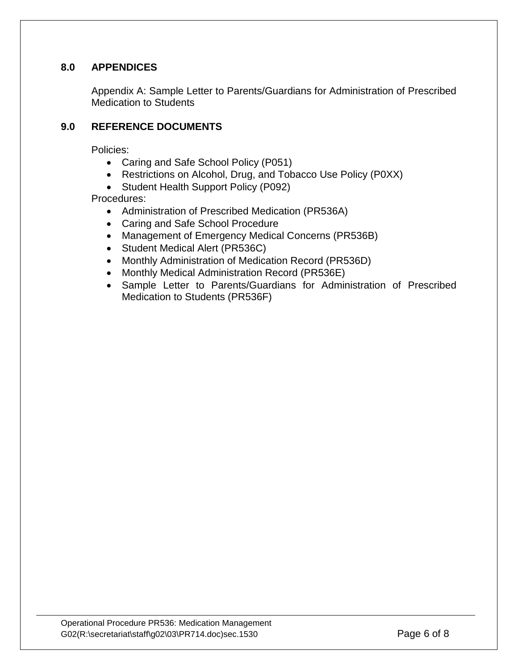# **8.0 APPENDICES**

Appendix A: Sample Letter to Parents/Guardians for Administration of Prescribed Medication to Students

## **9.0 REFERENCE DOCUMENTS**

Policies:

- Caring and Safe School Policy (P051)
- Restrictions on Alcohol, Drug, and Tobacco Use Policy (P0XX)
- Student Health Support Policy (P092)

Procedures:

- Administration of Prescribed Medication (PR536A)
- Caring and Safe School Procedure
- Management of Emergency Medical Concerns (PR536B)
- Student Medical Alert (PR536C)
- Monthly Administration of Medication Record (PR536D)
- Monthly Medical Administration Record (PR536E)
- Sample Letter to Parents/Guardians for Administration of Prescribed Medication to Students (PR536F)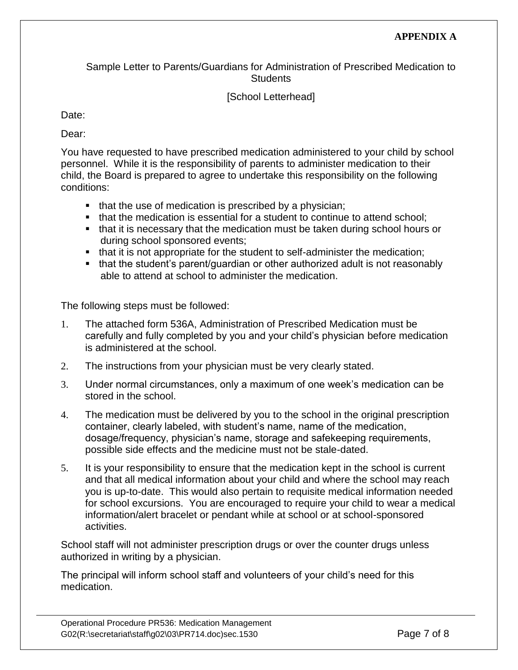Sample Letter to Parents/Guardians for Administration of Prescribed Medication to **Students** 

# [School Letterhead]

Date:

Dear:

You have requested to have prescribed medication administered to your child by school personnel. While it is the responsibility of parents to administer medication to their child, the Board is prepared to agree to undertake this responsibility on the following conditions:

- $\blacksquare$  that the use of medication is prescribed by a physician;
- that the medication is essential for a student to continue to attend school:
- that it is necessary that the medication must be taken during school hours or during school sponsored events;
- that it is not appropriate for the student to self-administer the medication;
- that the student's parent/guardian or other authorized adult is not reasonably able to attend at school to administer the medication.

The following steps must be followed:

- 1. The attached form 536A, Administration of Prescribed Medication must be carefully and fully completed by you and your child's physician before medication is administered at the school.
- 2. The instructions from your physician must be very clearly stated.
- 3. Under normal circumstances, only a maximum of one week's medication can be stored in the school.
- 4. The medication must be delivered by you to the school in the original prescription container, clearly labeled, with student's name, name of the medication, dosage/frequency, physician's name, storage and safekeeping requirements, possible side effects and the medicine must not be stale-dated.
- 5. It is your responsibility to ensure that the medication kept in the school is current and that all medical information about your child and where the school may reach you is up-to-date. This would also pertain to requisite medical information needed for school excursions. You are encouraged to require your child to wear a medical information/alert bracelet or pendant while at school or at school-sponsored activities.

School staff will not administer prescription drugs or over the counter drugs unless authorized in writing by a physician.

The principal will inform school staff and volunteers of your child's need for this medication.